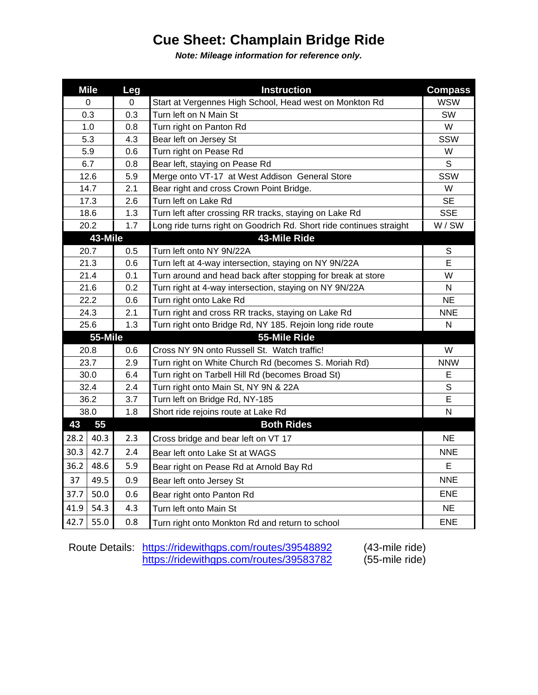## **Cue Sheet: Champlain Bridge Ride**

*Note: Mileage information for reference only.*

|                               | <b>Mile</b> | Leg | <b>Instruction</b>                                                  | <b>Compass</b> |
|-------------------------------|-------------|-----|---------------------------------------------------------------------|----------------|
| 0                             |             | 0   | Start at Vergennes High School, Head west on Monkton Rd             | <b>WSW</b>     |
| 0.3                           |             | 0.3 | Turn left on N Main St                                              | SW             |
| 1.0                           |             | 0.8 | Turn right on Panton Rd                                             | W              |
| 5.3                           |             | 4.3 | Bear left on Jersey St                                              | SSW            |
| 5.9                           |             | 0.6 | Turn right on Pease Rd                                              | W              |
|                               | 6.7         | 0.8 | Bear left, staying on Pease Rd                                      | S              |
| 12.6                          |             | 5.9 | Merge onto VT-17 at West Addison General Store                      | SSW            |
| 14.7                          |             | 2.1 | Bear right and cross Crown Point Bridge.                            | W              |
|                               | 17.3        | 2.6 | Turn left on Lake Rd                                                | <b>SE</b>      |
|                               | 18.6        | 1.3 | Turn left after crossing RR tracks, staying on Lake Rd              | <b>SSE</b>     |
| 20.2                          |             | 1.7 | Long ride turns right on Goodrich Rd. Short ride continues straight | W/SW           |
| 43-Mile                       |             |     | 43-Mile Ride                                                        |                |
| 20.7                          |             | 0.5 | Turn left onto NY 9N/22A                                            | S              |
| 21.3                          |             | 0.6 | Turn left at 4-way intersection, staying on NY 9N/22A               | E              |
| 21.4                          |             | 0.1 | Turn around and head back after stopping for break at store         | W              |
| 21.6                          |             | 0.2 | Turn right at 4-way intersection, staying on NY 9N/22A              | Ν              |
| 22.2                          |             | 0.6 | Turn right onto Lake Rd                                             | <b>NE</b>      |
| 24.3                          |             | 2.1 | Turn right and cross RR tracks, staying on Lake Rd                  | <b>NNE</b>     |
| 25.6                          |             | 1.3 | Turn right onto Bridge Rd, NY 185. Rejoin long ride route           | N              |
| 55-Mile                       |             |     | 55-Mile Ride                                                        |                |
| 20.8                          |             | 0.6 | Cross NY 9N onto Russell St. Watch traffic!                         | W              |
| 23.7                          |             | 2.9 | Turn right on White Church Rd (becomes S. Moriah Rd)                | <b>NNW</b>     |
| 30.0                          |             | 6.4 | Turn right on Tarbell Hill Rd (becomes Broad St)                    | Е              |
| 32.4                          |             | 2.4 | Turn right onto Main St, NY 9N & 22A                                | S              |
| 36.2                          |             | 3.7 | Turn left on Bridge Rd, NY-185                                      | E              |
| 38.0                          |             | 1.8 | Short ride rejoins route at Lake Rd                                 | Ν              |
| 55<br>43<br><b>Both Rides</b> |             |     |                                                                     |                |
| 28.2                          | 40.3        | 2.3 | Cross bridge and bear left on VT 17                                 | <b>NE</b>      |
| 30.3                          | 42.7        | 2.4 | Bear left onto Lake St at WAGS                                      | <b>NNE</b>     |
| 36.2                          | 48.6        | 5.9 | Bear right on Pease Rd at Arnold Bay Rd                             | E              |
| 37                            | 49.5        | 0.9 | Bear left onto Jersey St                                            | <b>NNE</b>     |
| 37.7                          | 50.0        | 0.6 | Bear right onto Panton Rd                                           | <b>ENE</b>     |
| 41.9                          | 54.3        | 4.3 | Turn left onto Main St                                              | <b>NE</b>      |
| 42.7                          | 55.0        | 0.8 | Turn right onto Monkton Rd and return to school                     | <b>ENE</b>     |

Route Details: <https://ridewithgps.com/routes/39548892> (43-mile ride) <https://ridewithgps.com/routes/39583782> (55-mile ride)